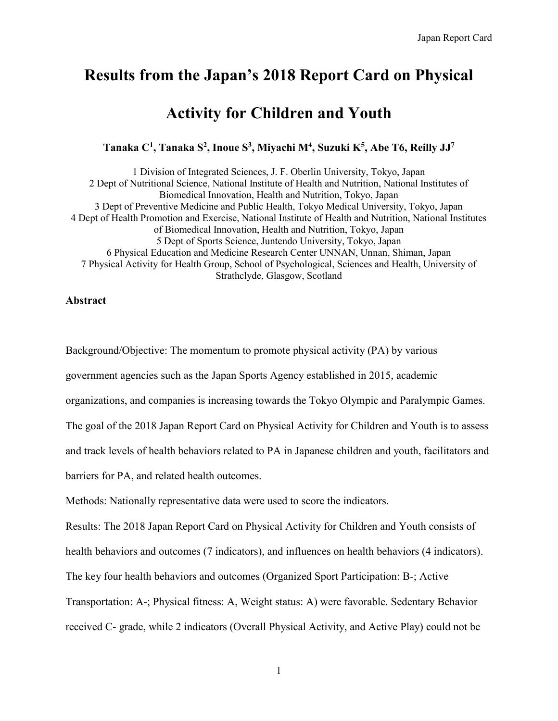# **Results from the Japan's 2018 Report Card on Physical**

# **Activity for Children and Youth**

**Tanaka C<sup>1</sup> , Tanaka S<sup>2</sup> , Inoue S<sup>3</sup> , Miyachi M<sup>4</sup> , Suzuki K<sup>5</sup> , Abe T6, Reilly JJ<sup>7</sup>**

1 Division of Integrated Sciences, J. F. Oberlin University, Tokyo, Japan 2 Dept of Nutritional Science, National Institute of Health and Nutrition, National Institutes of Biomedical Innovation, Health and Nutrition, Tokyo, Japan 3 Dept of Preventive Medicine and Public Health, Tokyo Medical University, Tokyo, Japan 4 Dept of Health Promotion and Exercise, National Institute of Health and Nutrition, National Institutes of Biomedical Innovation, Health and Nutrition, Tokyo, Japan 5 Dept of Sports Science, Juntendo University, Tokyo, Japan 6 Physical Education and Medicine Research Center UNNAN, Unnan, Shiman, Japan 7 Physical Activity for Health Group, School of Psychological, Sciences and Health, University of Strathclyde, Glasgow, Scotland

#### **Abstract**

Background/Objective: The momentum to promote physical activity (PA) by various government agencies such as the Japan Sports Agency established in 2015, academic organizations, and companies is increasing towards the Tokyo Olympic and Paralympic Games. The goal of the 2018 Japan Report Card on Physical Activity for Children and Youth is to assess and track levels of health behaviors related to PA in Japanese children and youth, facilitators and barriers for PA, and related health outcomes. Methods: Nationally representative data were used to score the indicators.

Results: The 2018 Japan Report Card on Physical Activity for Children and Youth consists of health behaviors and outcomes (7 indicators), and influences on health behaviors (4 indicators). The key four health behaviors and outcomes (Organized Sport Participation: B-; Active Transportation: A-; Physical fitness: A, Weight status: A) were favorable. Sedentary Behavior received C- grade, while 2 indicators (Overall Physical Activity, and Active Play) could not be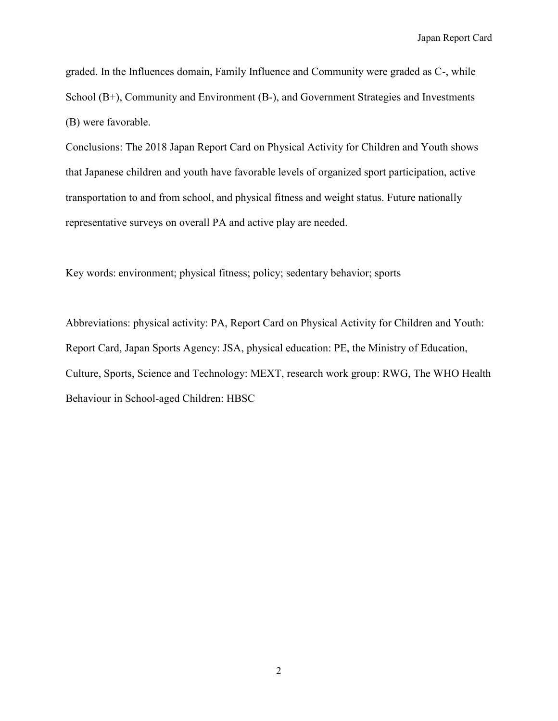graded. In the Influences domain, Family Influence and Community were graded as C-, while School (B+), Community and Environment (B-), and Government Strategies and Investments (B) were favorable.

Conclusions: The 2018 Japan Report Card on Physical Activity for Children and Youth shows that Japanese children and youth have favorable levels of organized sport participation, active transportation to and from school, and physical fitness and weight status. Future nationally representative surveys on overall PA and active play are needed.

Key words: environment; physical fitness; policy; sedentary behavior; sports

Abbreviations: physical activity: PA, Report Card on Physical Activity for Children and Youth: Report Card, Japan Sports Agency: JSA, physical education: PE, the Ministry of Education, Culture, Sports, Science and Technology: MEXT, research work group: RWG, The WHO Health Behaviour in School-aged Children: HBSC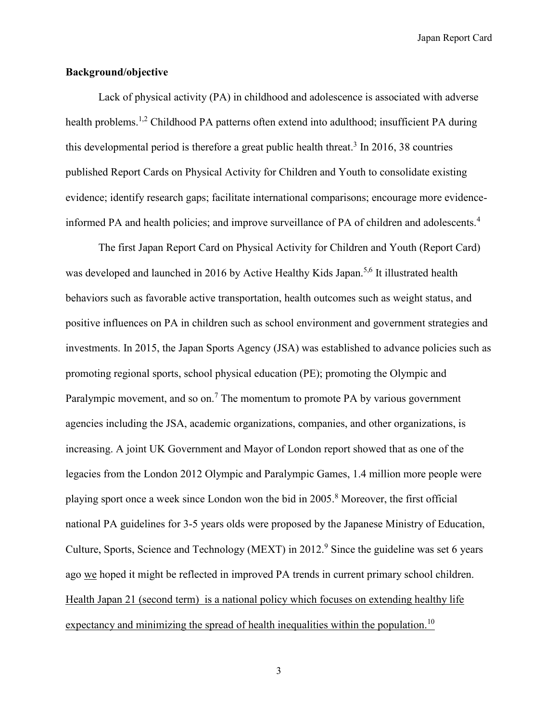#### **Background/objective**

Lack of physical activity (PA) in childhood and adolescence is associated with adverse health problems.<sup>1,2</sup> Childhood PA patterns often extend into adulthood; insufficient PA during this developmental period is therefore a great public health threat.<sup>3</sup> In 2016, 38 countries published Report Cards on Physical Activity for Children and Youth to consolidate existing evidence; identify research gaps; facilitate international comparisons; encourage more evidenceinformed PA and health policies; and improve surveillance of PA of children and adolescents.<sup>4</sup>

The first Japan Report Card on Physical Activity for Children and Youth (Report Card) was developed and launched in 2016 by Active Healthy Kids Japan.<sup>5,6</sup> It illustrated health behaviors such as favorable active transportation, health outcomes such as weight status, and positive influences on PA in children such as school environment and government strategies and investments. In 2015, the Japan Sports Agency (JSA) was established to advance policies such as promoting regional sports, school physical education (PE); promoting the Olympic and Paralympic movement, and so on.<sup>7</sup> The momentum to promote PA by various government agencies including the JSA, academic organizations, companies, and other organizations, is increasing. A joint UK Government and Mayor of London report showed that as one of the legacies from the London 2012 Olympic and Paralympic Games, 1.4 million more people were playing sport once a week since London won the bid in 2005.<sup>8</sup> Moreover, the first official national PA guidelines for 3-5 years olds were proposed by the Japanese Ministry of Education, Culture, Sports, Science and Technology (MEXT) in  $2012<sup>9</sup>$  Since the guideline was set 6 years ago we hoped it might be reflected in improved PA trends in current primary school children. Health Japan 21 (second term) is a national policy which focuses on extending healthy life expectancy and minimizing the spread of health inequalities within the population.<sup>10</sup>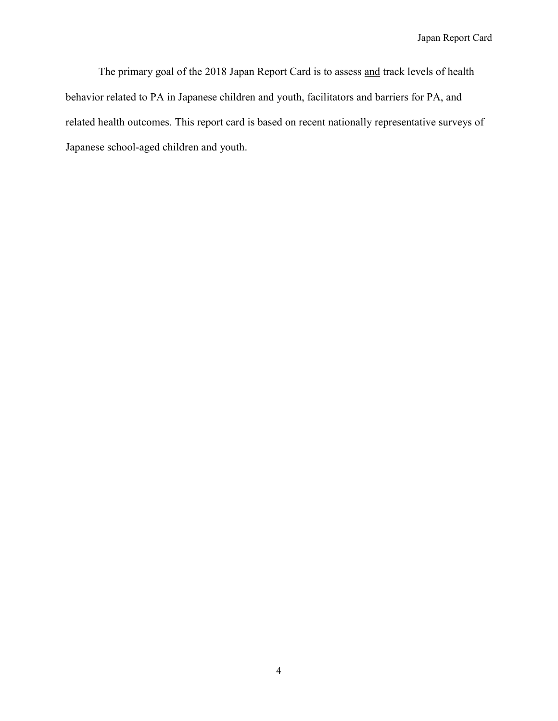The primary goal of the 2018 Japan Report Card is to assess and track levels of health behavior related to PA in Japanese children and youth, facilitators and barriers for PA, and related health outcomes. This report card is based on recent nationally representative surveys of Japanese school-aged children and youth.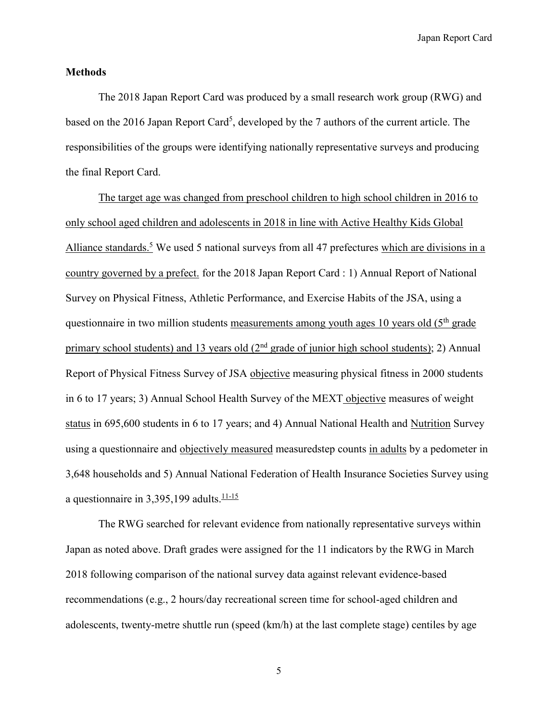#### **Methods**

The 2018 Japan Report Card was produced by a small research work group (RWG) and based on the 2016 Japan Report Card<sup>5</sup>, developed by the 7 authors of the current article. The responsibilities of the groups were identifying nationally representative surveys and producing the final Report Card.

The target age was changed from preschool children to high school children in 2016 to only school aged children and adolescents in 2018 in line with Active Healthy Kids Global Alliance standards.<sup>5</sup> We used 5 national surveys from all 47 prefectures which are divisions in a country governed by a prefect. for the 2018 Japan Report Card : 1) Annual Report of National Survey on Physical Fitness, Athletic Performance, and Exercise Habits of the JSA, using a questionnaire in two million students measurements among youth ages 10 years old  $(5<sup>th</sup> \text{ grade})$ primary school students) and 13 years old  $(2<sup>nd</sup>$  grade of junior high school students); 2) Annual Report of Physical Fitness Survey of JSA objective measuring physical fitness in 2000 students in 6 to 17 years; 3) Annual School Health Survey of the MEXT objective measures of weight status in 695,600 students in 6 to 17 years; and 4) Annual National Health and Nutrition Survey using a questionnaire and objectively measured measuredstep counts in adults by a pedometer in 3,648 households and 5) Annual National Federation of Health Insurance Societies Survey using a questionnaire in  $3,395,199$  adults.<sup>11-15</sup>

The RWG searched for relevant evidence from nationally representative surveys within Japan as noted above. Draft grades were assigned for the 11 indicators by the RWG in March 2018 following comparison of the national survey data against relevant evidence-based recommendations (e.g., 2 hours/day recreational screen time for school-aged children and adolescents, twenty-metre shuttle run (speed (km/h) at the last complete stage) centiles by age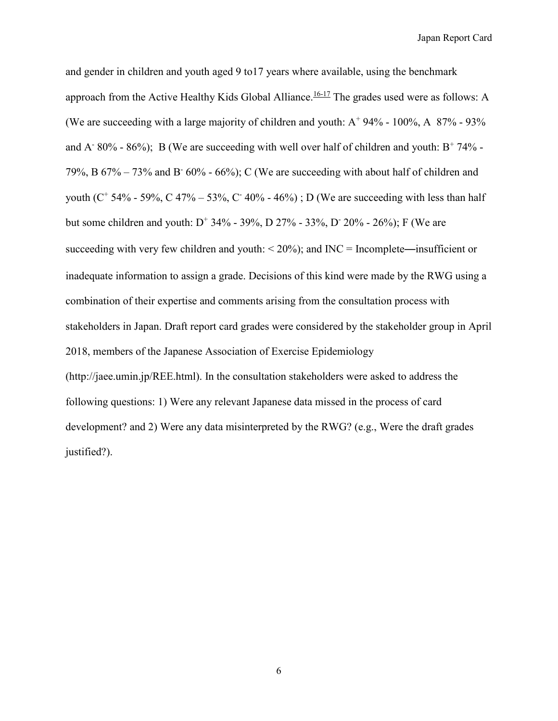and gender in children and youth aged 9 to17 years where available, using the benchmark approach from the Active Healthy Kids Global Alliance.<sup>16-17</sup> The grades used were as follows: A (We are succeeding with a large majority of children and youth:  $A^+$  94% - 100%, A 87% - 93% and A<sup>-</sup> 80% - 86%); B (We are succeeding with well over half of children and youth:  $B^+$  74% -79%, B  $67\% - 73\%$  and B  $60\% - 66\%$ ; C (We are succeeding with about half of children and youth ( $C^+$  54% - 59%, C 47% – 53%, C 40% - 46%); D (We are succeeding with less than half but some children and youth:  $D^+$  34% - 39%, D 27% - 33%, D 20% - 26%); F (We are succeeding with very few children and youth:  $\leq 20\%$ ); and INC = Incomplete—insufficient or inadequate information to assign a grade. Decisions of this kind were made by the RWG using a combination of their expertise and comments arising from the consultation process with stakeholders in Japan. Draft report card grades were considered by the stakeholder group in April 2018, members of the Japanese Association of Exercise Epidemiology (http://jaee.umin.jp/REE.html). In the consultation stakeholders were asked to address the following questions: 1) Were any relevant Japanese data missed in the process of card development? and 2) Were any data misinterpreted by the RWG? (e.g., Were the draft grades justified?).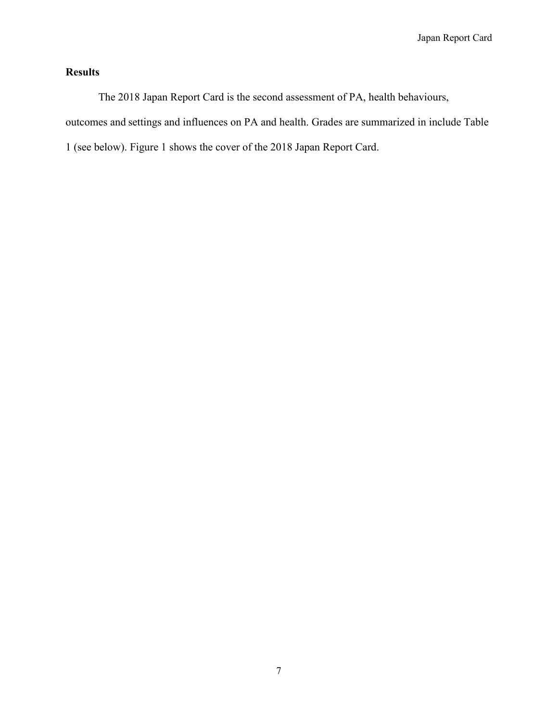## **Results**

The 2018 Japan Report Card is the second assessment of PA, health behaviours, outcomes and settings and influences on PA and health. Grades are summarized in include Table 1 (see below). Figure 1 shows the cover of the 2018 Japan Report Card.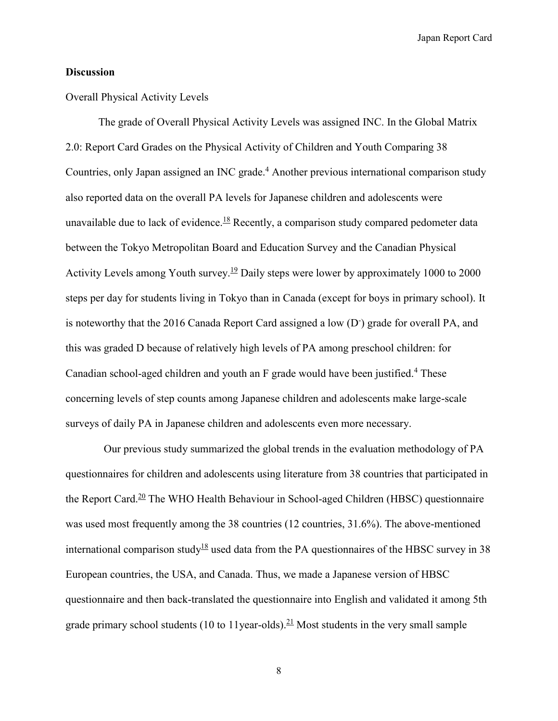### **Discussion**

#### Overall Physical Activity Levels

The grade of Overall Physical Activity Levels was assigned INC. In the Global Matrix 2.0: Report Card Grades on the Physical Activity of Children and Youth Comparing 38 Countries, only Japan assigned an INC grade.<sup>4</sup> Another previous international comparison study also reported data on the overall PA levels for Japanese children and adolescents were unavailable due to lack of evidence.<sup>18</sup> Recently, a comparison study compared pedometer data between the Tokyo Metropolitan Board and Education Survey and the Canadian Physical Activity Levels among Youth survey.<sup>19</sup> Daily steps were lower by approximately 1000 to 2000 steps per day for students living in Tokyo than in Canada (except for boys in primary school). It is noteworthy that the 2016 Canada Report Card assigned a low (D<sup>-</sup>) grade for overall PA, and this was graded D because of relatively high levels of PA among preschool children: for Canadian school-aged children and youth an F grade would have been justified.<sup>4</sup> These concerning levels of step counts among Japanese children and adolescents make large-scale surveys of daily PA in Japanese children and adolescents even more necessary.

Our previous study summarized the global trends in the evaluation methodology of PA questionnaires for children and adolescents using literature from 38 countries that participated in the Report Card.<sup>20</sup> The WHO Health Behaviour in School-aged Children (HBSC) questionnaire was used most frequently among the 38 countries (12 countries, 31.6%). The above-mentioned international comparison study<sup>18</sup> used data from the PA questionnaires of the HBSC survey in 38 European countries, the USA, and Canada. Thus, we made a Japanese version of HBSC questionnaire and then back-translated the questionnaire into English and validated it among 5th grade primary school students (10 to 11year-olds).<sup>21</sup> Most students in the very small sample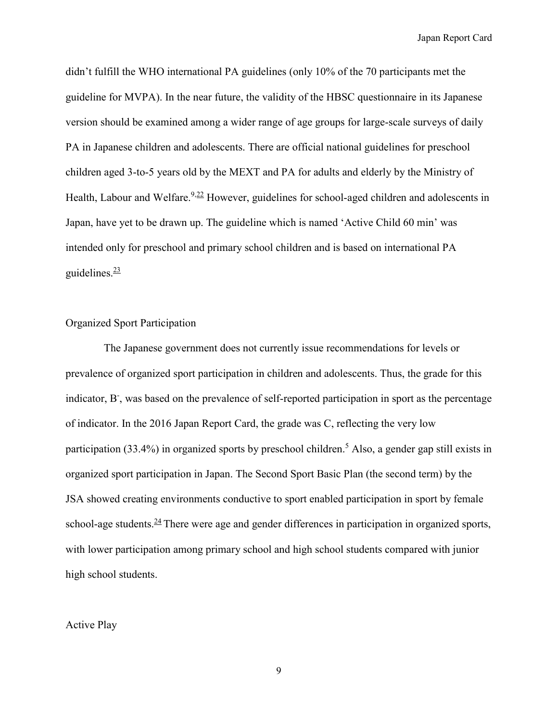didn't fulfill the WHO international PA guidelines (only 10% of the 70 participants met the guideline for MVPA). In the near future, the validity of the HBSC questionnaire in its Japanese version should be examined among a wider range of age groups for large-scale surveys of daily PA in Japanese children and adolescents. There are official national guidelines for preschool children aged 3-to-5 years old by the MEXT and PA for adults and elderly by the Ministry of Health, Labour and Welfare.<sup>9,22</sup> However, guidelines for school-aged children and adolescents in Japan, have yet to be drawn up. The guideline which is named 'Active Child 60 min' was intended only for preschool and primary school children and is based on international PA guidelines. $\frac{23}{2}$ 

#### Organized Sport Participation

The Japanese government does not currently issue recommendations for levels or prevalence of organized sport participation in children and adolescents. Thus, the grade for this indicator, B, was based on the prevalence of self-reported participation in sport as the percentage of indicator. In the 2016 Japan Report Card, the grade was C, reflecting the very low participation (33.4%) in organized sports by preschool children.<sup>5</sup> Also, a gender gap still exists in organized sport participation in Japan. The Second Sport Basic Plan (the second term) by the JSA showed creating environments conductive to sport enabled participation in sport by female school-age students. $^{24}$  There were age and gender differences in participation in organized sports, with lower participation among primary school and high school students compared with junior high school students.

#### Active Play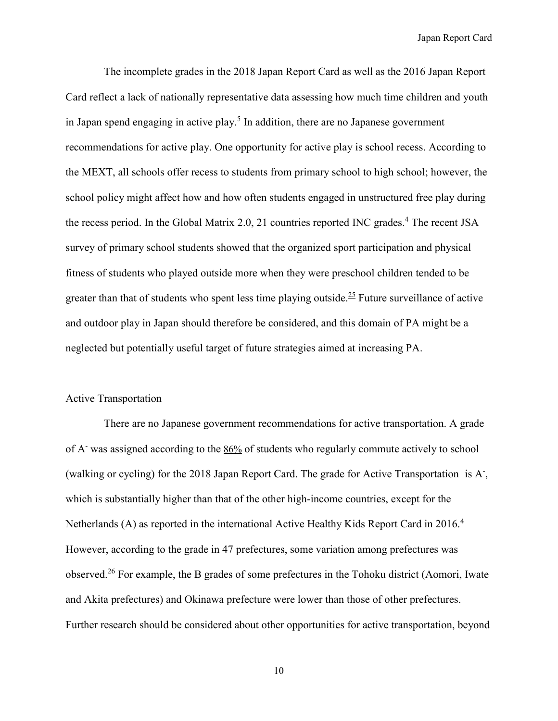The incomplete grades in the 2018 Japan Report Card as well as the 2016 Japan Report Card reflect a lack of nationally representative data assessing how much time children and youth in Japan spend engaging in active play.<sup>5</sup> In addition, there are no Japanese government recommendations for active play. One opportunity for active play is school recess. According to the MEXT, all schools offer recess to students from primary school to high school; however, the school policy might affect how and how often students engaged in unstructured free play during the recess period. In the Global Matrix 2.0, 21 countries reported INC grades.<sup>4</sup> The recent JSA survey of primary school students showed that the organized sport participation and physical fitness of students who played outside more when they were preschool children tended to be greater than that of students who spent less time playing outside.<sup>25</sup> Future surveillance of active and outdoor play in Japan should therefore be considered, and this domain of PA might be a neglected but potentially useful target of future strategies aimed at increasing PA.

#### Active Transportation

There are no Japanese government recommendations for active transportation. A grade of A- was assigned according to the 86% of students who regularly commute actively to school (walking or cycling) for the 2018 Japan Report Card. The grade for Active Transportation is A- , which is substantially higher than that of the other high-income countries, except for the Netherlands (A) as reported in the international Active Healthy Kids Report Card in 2016.<sup>4</sup> However, according to the grade in 47 prefectures, some variation among prefectures was observed.<sup>26</sup> For example, the B grades of some prefectures in the Tohoku district (Aomori, Iwate and Akita prefectures) and Okinawa prefecture were lower than those of other prefectures. Further research should be considered about other opportunities for active transportation, beyond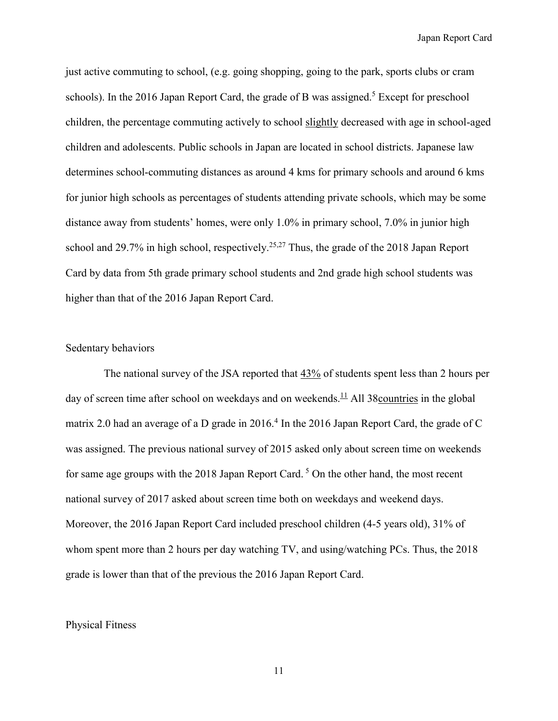just active commuting to school, (e.g. going shopping, going to the park, sports clubs or cram schools). In the 2016 Japan Report Card, the grade of B was assigned.<sup>5</sup> Except for preschool children, the percentage commuting actively to school slightly decreased with age in school-aged children and adolescents. Public schools in Japan are located in school districts. Japanese law determines school-commuting distances as around 4 kms for primary schools and around 6 kms for junior high schools as percentages of students attending private schools, which may be some distance away from students' homes, were only 1.0% in primary school, 7.0% in junior high school and 29.7% in high school, respectively.<sup>25,27</sup> Thus, the grade of the 2018 Japan Report Card by data from 5th grade primary school students and 2nd grade high school students was higher than that of the 2016 Japan Report Card.

#### Sedentary behaviors

The national survey of the JSA reported that 43% of students spent less than 2 hours per day of screen time after school on weekdays and on weekends.<sup>11</sup> All 38 countries in the global matrix 2.0 had an average of a D grade in 2016.<sup>4</sup> In the 2016 Japan Report Card, the grade of C was assigned. The previous national survey of 2015 asked only about screen time on weekends for same age groups with the 2018 Japan Report Card. <sup>5</sup> On the other hand, the most recent national survey of 2017 asked about screen time both on weekdays and weekend days. Moreover, the 2016 Japan Report Card included preschool children (4-5 years old), 31% of whom spent more than 2 hours per day watching TV, and using/watching PCs. Thus, the 2018 grade is lower than that of the previous the 2016 Japan Report Card.

#### Physical Fitness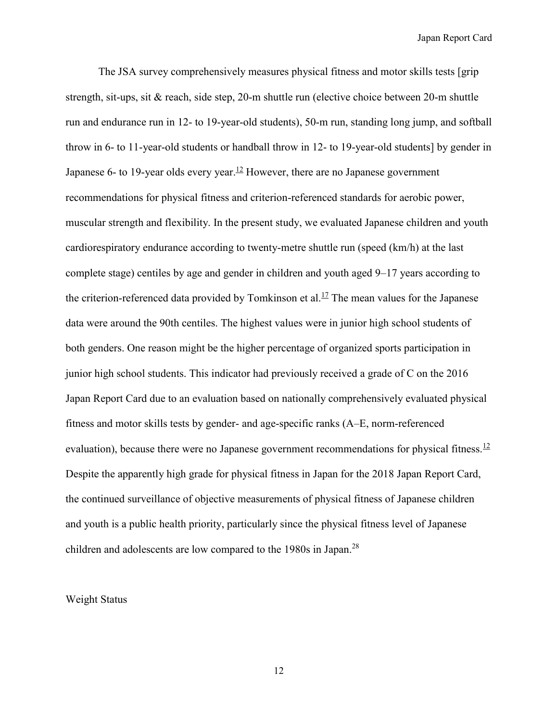The JSA survey comprehensively measures physical fitness and motor skills tests [grip strength, sit-ups, sit & reach, side step, 20-m shuttle run (elective choice between 20-m shuttle run and endurance run in 12- to 19-year-old students), 50-m run, standing long jump, and softball throw in 6- to 11-year-old students or handball throw in 12- to 19-year-old students] by gender in Japanese 6- to 19-year olds every year.<sup>12</sup> However, there are no Japanese government recommendations for physical fitness and criterion-referenced standards for aerobic power, muscular strength and flexibility. In the present study, we evaluated Japanese children and youth cardiorespiratory endurance according to twenty-metre shuttle run (speed (km/h) at the last complete stage) centiles by age and gender in children and youth aged 9–17 years according to the criterion-referenced data provided by Tomkinson et al.<sup>17</sup> The mean values for the Japanese data were around the 90th centiles. The highest values were in junior high school students of both genders. One reason might be the higher percentage of organized sports participation in junior high school students. This indicator had previously received a grade of C on the 2016 Japan Report Card due to an evaluation based on nationally comprehensively evaluated physical fitness and motor skills tests by gender- and age-specific ranks (A–E, norm-referenced evaluation), because there were no Japanese government recommendations for physical fitness.<sup>12</sup> Despite the apparently high grade for physical fitness in Japan for the 2018 Japan Report Card, the continued surveillance of objective measurements of physical fitness of Japanese children and youth is a public health priority, particularly since the physical fitness level of Japanese children and adolescents are low compared to the 1980s in Japan.<sup>28</sup>

Weight Status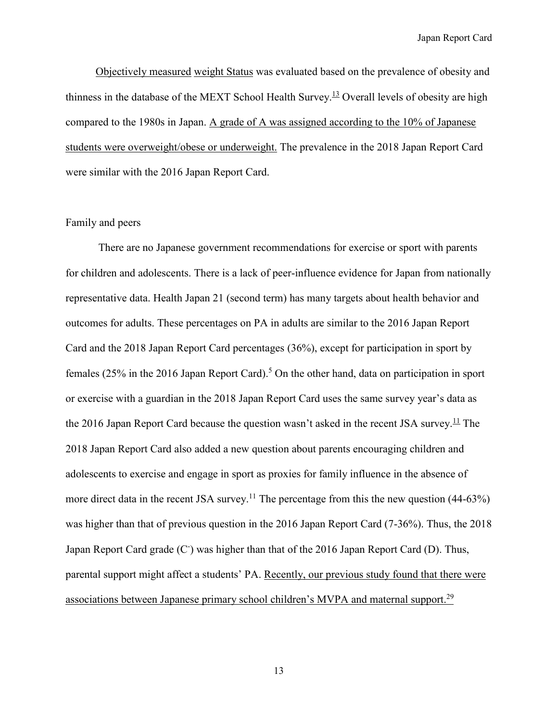Objectively measured weight Status was evaluated based on the prevalence of obesity and thinness in the database of the MEXT School Health Survey.<sup>13</sup> Overall levels of obesity are high compared to the 1980s in Japan. A grade of A was assigned according to the 10% of Japanese students were overweight/obese or underweight. The prevalence in the 2018 Japan Report Card were similar with the 2016 Japan Report Card.

#### Family and peers

There are no Japanese government recommendations for exercise or sport with parents for children and adolescents. There is a lack of peer-influence evidence for Japan from nationally representative data. Health Japan 21 (second term) has many targets about health behavior and outcomes for adults. These percentages on PA in adults are similar to the 2016 Japan Report Card and the 2018 Japan Report Card percentages (36%), except for participation in sport by females (25% in the 2016 Japan Report Card).<sup>5</sup> On the other hand, data on participation in sport or exercise with a guardian in the 2018 Japan Report Card uses the same survey year's data as the 2016 Japan Report Card because the question wasn't asked in the recent JSA survey.<sup>11</sup> The 2018 Japan Report Card also added a new question about parents encouraging children and adolescents to exercise and engage in sport as proxies for family influence in the absence of more direct data in the recent JSA survey.<sup>11</sup> The percentage from this the new question (44-63%) was higher than that of previous question in the 2016 Japan Report Card (7-36%). Thus, the 2018 Japan Report Card grade (C<sup>-</sup>) was higher than that of the 2016 Japan Report Card (D). Thus, parental support might affect a students' PA. Recently, our previous study found that there were associations between Japanese primary school children's MVPA and maternal support.<sup>29</sup>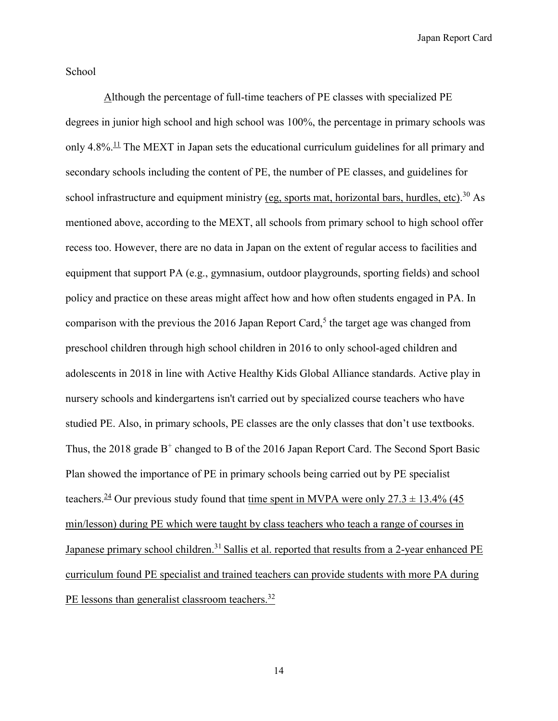School

Although the percentage of full-time teachers of PE classes with specialized PE degrees in junior high school and high school was 100%, the percentage in primary schools was only 4.8%.<sup>11</sup> The MEXT in Japan sets the educational curriculum guidelines for all primary and secondary schools including the content of PE, the number of PE classes, and guidelines for school infrastructure and equipment ministry (eg, sports mat, horizontal bars, hurdles, etc).<sup>30</sup> As mentioned above, according to the MEXT, all schools from primary school to high school offer recess too. However, there are no data in Japan on the extent of regular access to facilities and equipment that support PA (e.g., gymnasium, outdoor playgrounds, sporting fields) and school policy and practice on these areas might affect how and how often students engaged in PA. In comparison with the previous the 2016 Japan Report Card,<sup>5</sup> the target age was changed from preschool children through high school children in 2016 to only school-aged children and adolescents in 2018 in line with Active Healthy Kids Global Alliance standards. Active play in nursery schools and kindergartens isn't carried out by specialized course teachers who have studied PE. Also, in primary schools, PE classes are the only classes that don't use textbooks. Thus, the 2018 grade  $B^+$  changed to B of the 2016 Japan Report Card. The Second Sport Basic Plan showed the importance of PE in primary schools being carried out by PE specialist teachers.<sup>24</sup> Our previous study found that time spent in MVPA were only  $27.3 \pm 13.4\%$  (45) min/lesson) during PE which were taught by class teachers who teach a range of courses in Japanese primary school children.<sup>31</sup> Sallis et al. reported that results from a 2-year enhanced PE curriculum found PE specialist and trained teachers can provide students with more PA during PE lessons than generalist classroom teachers.<sup>32</sup>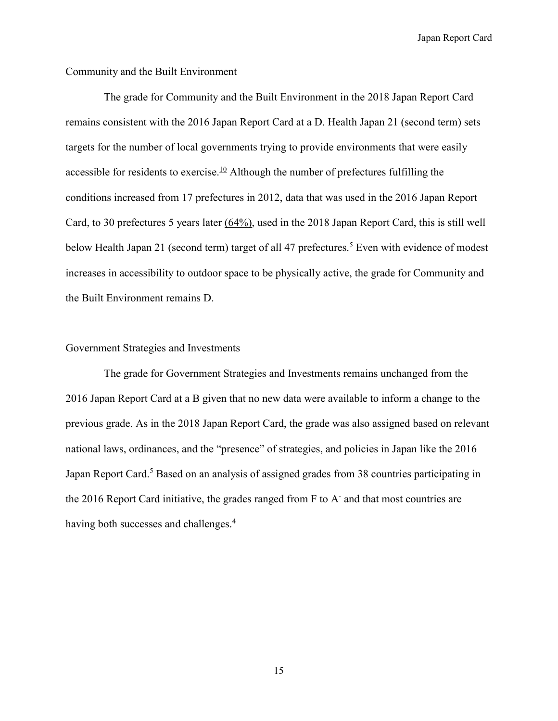#### Community and the Built Environment

The grade for Community and the Built Environment in the 2018 Japan Report Card remains consistent with the 2016 Japan Report Card at a D. Health Japan 21 (second term) sets targets for the number of local governments trying to provide environments that were easily accessible for residents to exercise.<sup>10</sup> Although the number of prefectures fulfilling the conditions increased from 17 prefectures in 2012, data that was used in the 2016 Japan Report Card, to 30 prefectures 5 years later (64%), used in the 2018 Japan Report Card, this is still well below Health Japan 21 (second term) target of all 47 prefectures.<sup>5</sup> Even with evidence of modest increases in accessibility to outdoor space to be physically active, the grade for Community and the Built Environment remains D.

#### Government Strategies and Investments

The grade for Government Strategies and Investments remains unchanged from the 2016 Japan Report Card at a B given that no new data were available to inform a change to the previous grade. As in the 2018 Japan Report Card, the grade was also assigned based on relevant national laws, ordinances, and the "presence" of strategies, and policies in Japan like the 2016 Japan Report Card.<sup>5</sup> Based on an analysis of assigned grades from 38 countries participating in the 2016 Report Card initiative, the grades ranged from F to A and that most countries are having both successes and challenges.<sup>4</sup>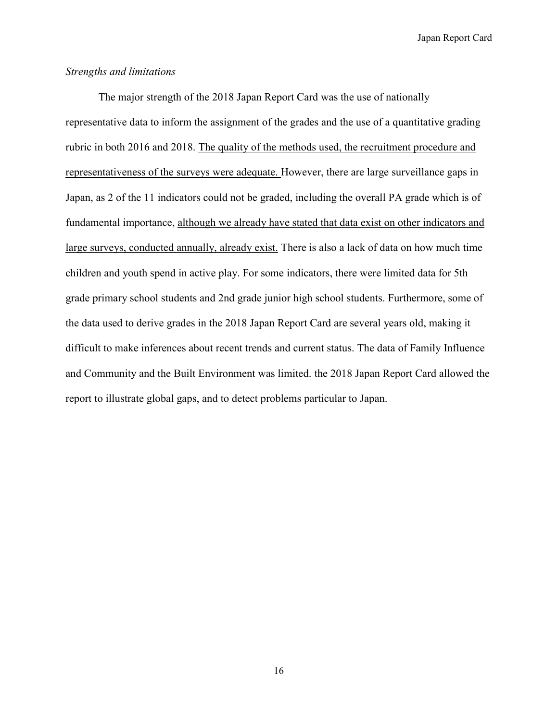#### *Strengths and limitations*

The major strength of the 2018 Japan Report Card was the use of nationally representative data to inform the assignment of the grades and the use of a quantitative grading rubric in both 2016 and 2018. The quality of the methods used, the recruitment procedure and representativeness of the surveys were adequate. However, there are large surveillance gaps in Japan, as 2 of the 11 indicators could not be graded, including the overall PA grade which is of fundamental importance, although we already have stated that data exist on other indicators and large surveys, conducted annually, already exist. There is also a lack of data on how much time children and youth spend in active play. For some indicators, there were limited data for 5th grade primary school students and 2nd grade junior high school students. Furthermore, some of the data used to derive grades in the 2018 Japan Report Card are several years old, making it difficult to make inferences about recent trends and current status. The data of Family Influence and Community and the Built Environment was limited. the 2018 Japan Report Card allowed the report to illustrate global gaps, and to detect problems particular to Japan.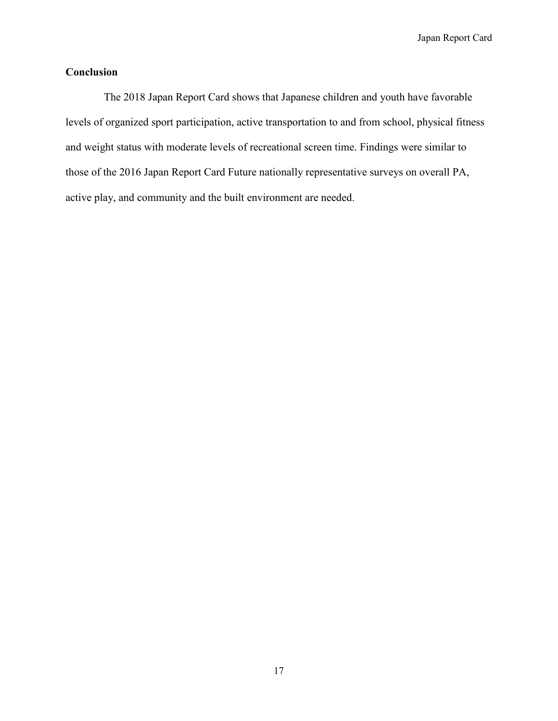## **Conclusion**

The 2018 Japan Report Card shows that Japanese children and youth have favorable levels of organized sport participation, active transportation to and from school, physical fitness and weight status with moderate levels of recreational screen time. Findings were similar to those of the 2016 Japan Report Card Future nationally representative surveys on overall PA, active play, and community and the built environment are needed.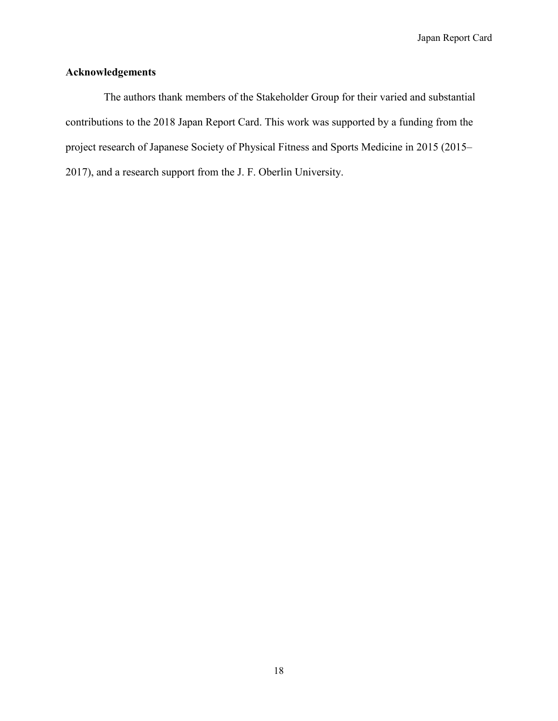## **Acknowledgements**

The authors thank members of the Stakeholder Group for their varied and substantial contributions to the 2018 Japan Report Card. This work was supported by a funding from the project research of Japanese Society of Physical Fitness and Sports Medicine in 2015 (2015– 2017), and a research support from the J. F. Oberlin University.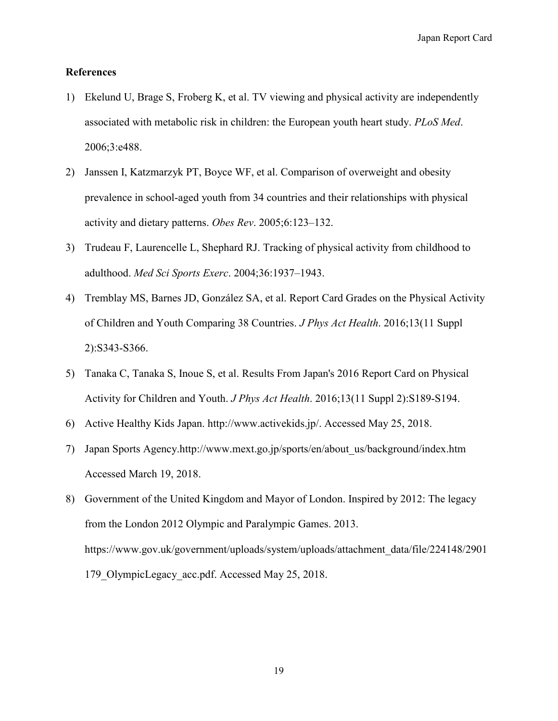### **References**

- 1) Ekelund U, Brage S, Froberg K, et al. TV viewing and physical activity are independently associated with metabolic risk in children: the European youth heart study. *PLoS Med*. 2006;3:e488.
- 2) Janssen I, Katzmarzyk PT, Boyce WF, et al. Comparison of overweight and obesity prevalence in school-aged youth from 34 countries and their relationships with physical activity and dietary patterns. *Obes Rev*. 2005;6:123–132.
- 3) Trudeau F, Laurencelle L, Shephard RJ. Tracking of physical activity from childhood to adulthood. *Med Sci Sports Exerc*. 2004;36:1937–1943.
- 4) Tremblay MS, Barnes JD, González SA, et al. Report Card Grades on the Physical Activity of Children and Youth Comparing 38 Countries. *J Phys Act Health*. 2016;13(11 Suppl 2):S343-S366.
- 5) Tanaka C, Tanaka S, Inoue S, et al. Results From Japan's 2016 Report Card on Physical Activity for Children and Youth. *J Phys Act Health*. 2016;13(11 Suppl 2):S189-S194.
- 6) Active Healthy Kids Japan. [http://www.activekids.jp/.](http://www.activekids.jp/) Accessed May 25, 2018.
- 7) Japan Sports Agency.http://www.mext.go.jp/sports/en/about\_us/background/index.htm Accessed March 19, 2018.
- 8) Government of the United Kingdom and Mayor of London. Inspired by 2012: The legacy from the London 2012 Olympic and Paralympic Games. 2013. https://www.gov.uk/government/uploads/system/uploads/attachment\_data/file/224148/2901 179 OlympicLegacy acc.pdf. Accessed May 25, 2018.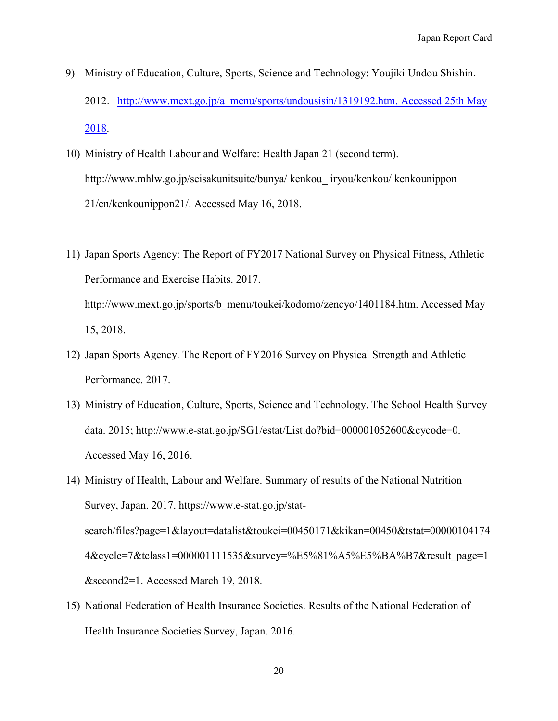- 9) Ministry of Education, Culture, Sports, Science and Technology: Youjiki Undou Shishin. 2012. http://www.mext.go.jp/a\_menu/sports/undousisin/1319192.htm. Accessed 25th May [2018.](http://www.mext.go.jp/a_menu/sports/undousisin/1319192.htm.%20Accessed%2025th%20May%202018)
- 10) Ministry of Health Labour and Welfare: Health Japan 21 (second term). http://www.mhlw.go.jp/seisakunitsuite/bunya/ kenkou\_ iryou/kenkou/ kenkounippon 21/en/kenkounippon21/. Accessed May 16, 2018.
- 11) Japan Sports Agency: The Report of FY2017 National Survey on Physical Fitness, Athletic Performance and Exercise Habits. 2017. http://www.mext.go.jp/sports/b\_menu/toukei/kodomo/zencyo/1401184.htm. Accessed May 15, 2018.
- 12) Japan Sports Agency. The Report of FY2016 Survey on Physical Strength and Athletic Performance. 2017.
- 13) Ministry of Education, Culture, Sports, Science and Technology. The School Health Survey data. 2015; http://www.e-stat.go.jp/SG1/estat/List.do?bid=000001052600&cycode=0. Accessed May 16, 2016.
- 14) Ministry of Health, Labour and Welfare. Summary of results of the National Nutrition Survey, Japan. 2017. https://www.e-stat.go.jp/statsearch/files?page=1&layout=datalist&toukei=00450171&kikan=00450&tstat=00000104174 4&cycle=7&tclass1=000001111535&survey=%E5%81%A5%E5%BA%B7&result\_page=1 &second2=1. Accessed March 19, 2018.
- 15) National Federation of Health Insurance Societies. Results of the National Federation of Health Insurance Societies Survey, Japan. 2016.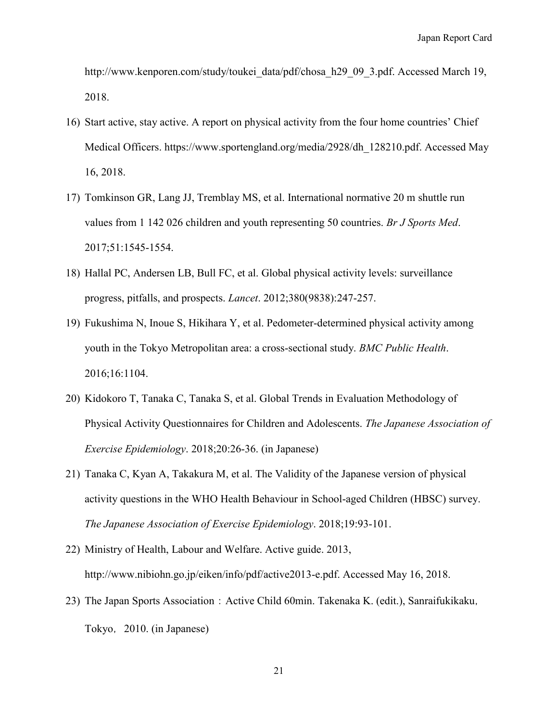http://www.kenporen.com/study/toukei\_data/pdf/chosa\_h29\_09\_3.pdf. Accessed March 19, 2018.

- 16) Start active, stay active. A report on physical activity from the four home countries' Chief Medical Officers. https://www.sportengland.org/media/2928/dh\_128210.pdf. Accessed May 16, 2018.
- 17) Tomkinson GR, Lang JJ, Tremblay MS, et al. International normative 20 m shuttle run values from 1 142 026 children and youth representing 50 countries. *Br J Sports Med*. 2017;51:1545-1554.
- 18) Hallal PC, Andersen LB, Bull FC, et al. Global physical activity levels: surveillance progress, pitfalls, and prospects. *Lancet*. 2012;380(9838):247-257.
- 19) Fukushima N, Inoue S, Hikihara Y, et al. Pedometer-determined physical activity among youth in the Tokyo Metropolitan area: a cross-sectional study. *BMC Public Health*. 2016;16:1104.
- 20) Kidokoro T, Tanaka C, Tanaka S, et al. Global Trends in Evaluation Methodology of Physical Activity Questionnaires for Children and Adolescents. *The Japanese Association of Exercise Epidemiology*. 2018;20:26-36. (in Japanese)
- 21) Tanaka C, Kyan A, Takakura M, et al. The Validity of the Japanese version of physical activity questions in the WHO Health Behaviour in School-aged Children (HBSC) survey. *The Japanese Association of Exercise Epidemiology*. 2018;19:93-101.
- 22) Ministry of Health, Labour and Welfare. Active guide. 2013, [http://www.nibiohn.go.jp/eiken/info/pdf/active2013-e.pdf.](http://www.nibiohn.go.jp/eiken/info/pdf/active2013-e.pdf) Accessed May 16, 2018.
- 23) The Japan Sports Association: Active Child 60min. Takenaka K. (edit.), Sanraifukikaku, Tokyo,2010. (in Japanese)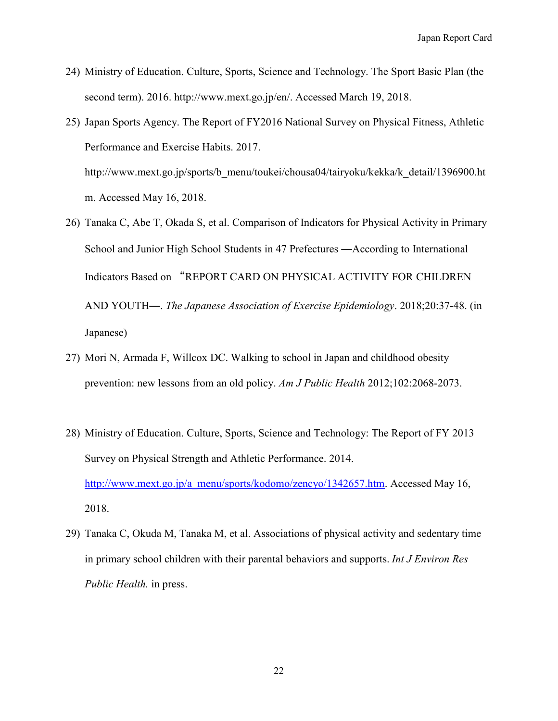- 24) Ministry of Education. Culture, Sports, Science and Technology. The Sport Basic Plan (the second term). 2016. http://www.mext.go.jp/en/. Accessed March 19, 2018.
- 25) Japan Sports Agency. The Report of FY2016 National Survey on Physical Fitness, Athletic Performance and Exercise Habits. 2017. http://www.mext.go.jp/sports/b\_menu/toukei/chousa04/tairyoku/kekka/k\_detail/1396900.ht m. Accessed May 16, 2018.
- 26) Tanaka C, Abe T, Okada S, et al. Comparison of Indicators for Physical Activity in Primary School and Junior High School Students in 47 Prefectures ―According to International Indicators Based on "REPORT CARD ON PHYSICAL ACTIVITY FOR CHILDREN AND YOUTH―. *The Japanese Association of Exercise Epidemiology*. 2018;20:37-48. (in Japanese)
- 27) Mori N, Armada F, Willcox DC. Walking to school in Japan and childhood obesity prevention: new lessons from an old policy. *Am J Public Health* 2012;102:2068-2073.
- 28) Ministry of Education. Culture, Sports, Science and Technology: The Report of FY 2013 Survey on Physical Strength and Athletic Performance. 2014. [http://www.mext.go.jp/a\\_menu/sports/kodomo/zencyo/1342657.htm.](http://www.mext.go.jp/a_menu/sports/kodomo/zencyo/1342657.htm) Accessed May 16, 2018.
- 29) Tanaka C, Okuda M, Tanaka M, et al. Associations of physical activity and sedentary time in primary school children with their parental behaviors and supports. *Int J Environ Res Public Health.* in press.